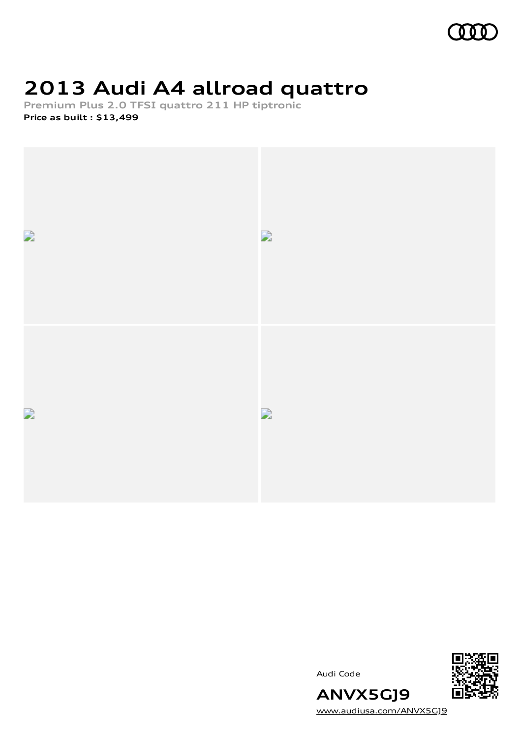

# **2013 Audi A4 allroad quattro**

**Premium Plus 2.0 TFSI quattro 211 HP tiptronic Price as built [:](#page-10-0) \$13,499**







[www.audiusa.com/ANVX5GJ9](https://www.audiusa.com/ANVX5GJ9)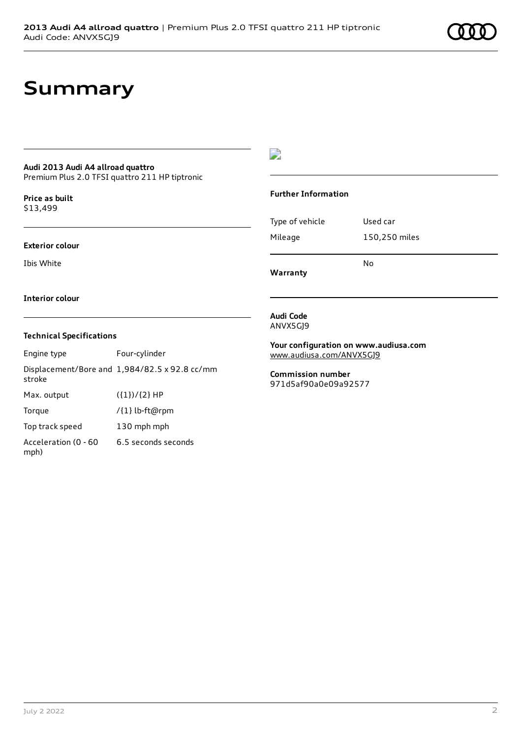# **Summary**

#### **Audi 2013 Audi A4 allroad quattro**

Premium Plus 2.0 TFSI quattro 211 HP tiptronic

**Price as buil[t](#page-10-0)** \$13,499

#### **Exterior colour**

Ibis White

 $\overline{\phantom{a}}$ 

#### **Further Information**

|                 | N٥            |
|-----------------|---------------|
| Mileage         | 150,250 miles |
| Type of vehicle | Used car      |

**Warranty**

#### **Interior colour**

#### **Technical Specifications**

| Engine type                  | Four-cylinder                                 |
|------------------------------|-----------------------------------------------|
| stroke                       | Displacement/Bore and 1,984/82.5 x 92.8 cc/mm |
| Max. output                  | $({1})/{2}$ HP                                |
| Torque                       | /{1} lb-ft@rpm                                |
| Top track speed              | 130 mph mph                                   |
| Acceleration (0 - 60<br>mph) | 6.5 seconds seconds                           |

#### **Audi Code** ANVX5GJ9

**Your configuration on www.audiusa.com** [www.audiusa.com/ANVX5GJ9](https://www.audiusa.com/ANVX5GJ9)

**Commission number** 971d5af90a0e09a92577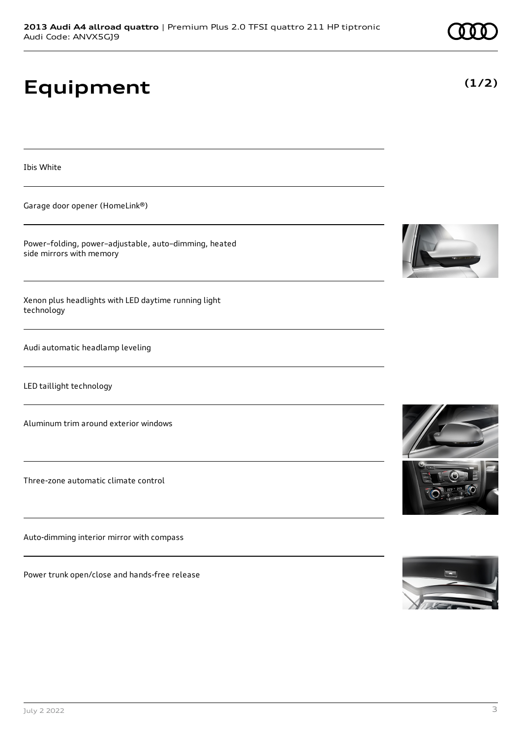# **Equipment**

Ibis White

Garage door opener (HomeLink®)

Power–folding, power–adjustable, auto–dimming, heated side mirrors with memory

Xenon plus headlights with LED daytime running light technology

Audi automatic headlamp leveling

LED taillight technology

Aluminum trim around exterior windows

Three-zone automatic climate control

Auto-dimming interior mirror with compass

Power trunk open/close and hands-free release









**(1/2)**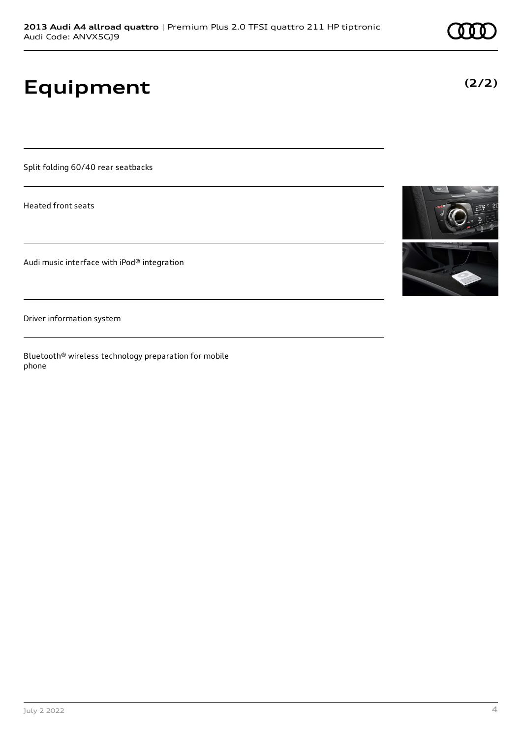# **Equipment**

Split folding 60/40 rear seatbacks

Heated front seats

Audi music interface with iPod® integration

Driver information system

Bluetooth® wireless technology preparation for mobile phone



**(2/2)**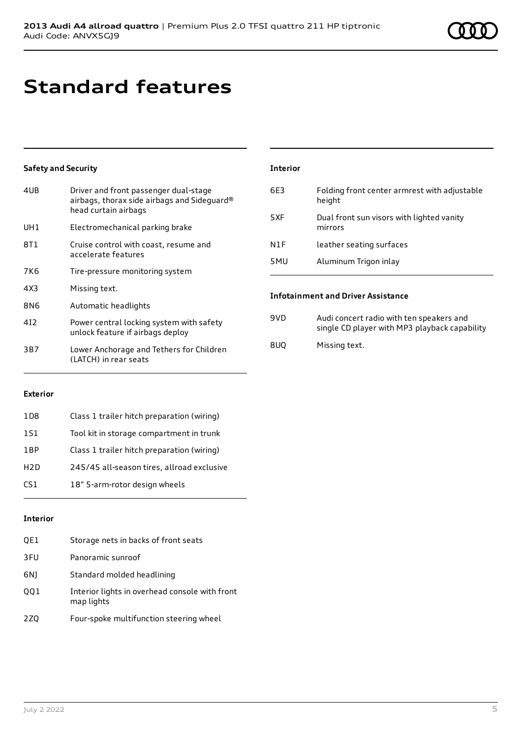# **Standard features**

## **Safety and Security**

| 4UB | Driver and front passenger dual-stage<br>airbags, thorax side airbags and Sideguard®<br>head curtain airbags |
|-----|--------------------------------------------------------------------------------------------------------------|
| UH1 | Electromechanical parking brake                                                                              |
| 8T1 | Cruise control with coast, resume and<br>accelerate features                                                 |
| 7K6 | Tire-pressure monitoring system                                                                              |
| 4X3 | Missing text.                                                                                                |
| 8N6 | Automatic headlights                                                                                         |
| 412 | Power central locking system with safety<br>unlock feature if airbags deploy                                 |
| 3B7 | Lower Anchorage and Tethers for Children<br>(LATCH) in rear seats                                            |

| <b>Interior</b>  |                                                        |
|------------------|--------------------------------------------------------|
| 6E3              | Folding front center armrest with adjustable<br>height |
| 5XF              | Dual front sun visors with lighted vanity<br>mirrors   |
| N <sub>1</sub> F | leather seating surfaces                               |
| 5MU              | Aluminum Trigon inlay                                  |
|                  |                                                        |

## **Infotainment and Driver Assistance**

| 9VD. | Audi concert radio with ten speakers and<br>single CD player with MP3 playback capability |
|------|-------------------------------------------------------------------------------------------|
| 8UO  | Missing text.                                                                             |

## **Exterior**

| 1D <sub>8</sub>  | Class 1 trailer hitch preparation (wiring) |
|------------------|--------------------------------------------|
| 1S1              | Tool kit in storage compartment in trunk   |
| 1 <sub>RP</sub>  | Class 1 trailer hitch preparation (wiring) |
| H <sub>2</sub> D | 245/45 all-season tires, allroad exclusive |
| CS <sub>1</sub>  | 18" 5-arm-rotor design wheels              |

## **Interior**

| QE1 | Storage nets in backs of front seats                         |
|-----|--------------------------------------------------------------|
| 3FU | Panoramic sunroof                                            |
| 6N) | Standard molded headlining                                   |
| QQ1 | Interior lights in overhead console with front<br>map lights |
| 2ZQ | Four-spoke multifunction steering wheel                      |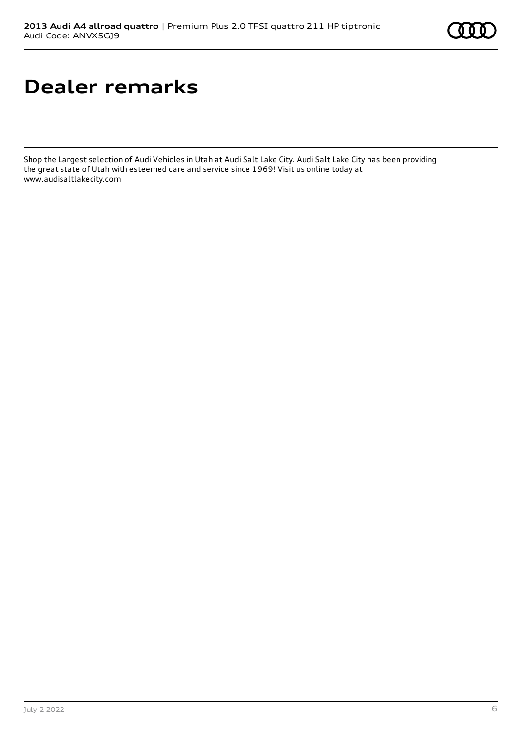# **Dealer remarks**

Shop the Largest selection of Audi Vehicles in Utah at Audi Salt Lake City. Audi Salt Lake City has been providing the great state of Utah with esteemed care and service since 1969! Visit us online today at www.audisaltlakecity.com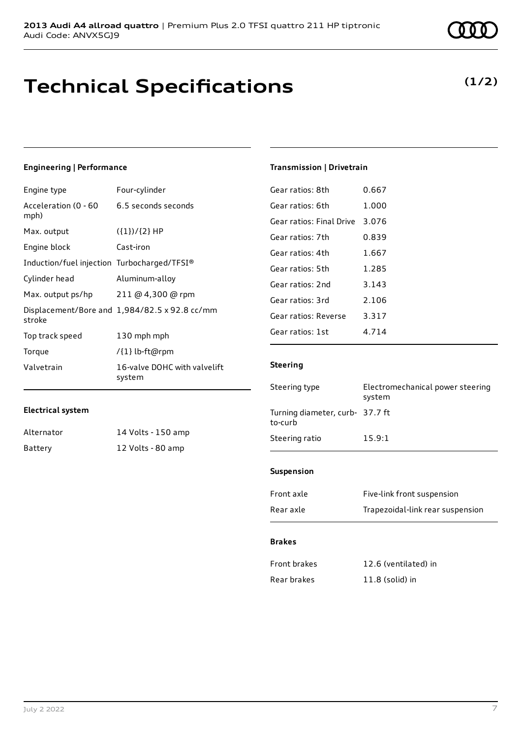# **Technical Specifications**

**(1/2)**

## **Engineering | Performance**

| Engine type                                 | Four-cylinder                                 |
|---------------------------------------------|-----------------------------------------------|
| Acceleration (0 - 60<br>mph)                | 6.5 seconds seconds                           |
| Max. output                                 | $({1})/{2}$ HP                                |
| Engine block                                | Cast-iron                                     |
| Induction/fuel injection Turbocharged/TFSI® |                                               |
| Cylinder head                               | Aluminum-alloy                                |
| Max. output ps/hp                           | 211 @ 4,300 @ rpm                             |
| stroke                                      | Displacement/Bore and 1,984/82.5 x 92.8 cc/mm |
| Top track speed                             | 130 mph mph                                   |
| Torque                                      | /{1} lb-ft@rpm                                |
| Valvetrain                                  | 16-valve DOHC with valvelift<br>system        |

### **Electrical system**

| Alternator | 14 Volts - 150 amp |
|------------|--------------------|
| Battery    | 12 Volts - 80 amp  |

### **Transmission | Drivetrain**

| Gear ratios: 8th         | 0.667   |
|--------------------------|---------|
| Gear ratios: 6th         | 1.000   |
| Gear ratios: Final Drive | 3.076   |
| Gear ratios: 7th         | 0.839   |
| Gear ratios: 4th         | 1.667   |
| Gear ratios: 5th         | 1.285   |
| Gear ratios: 2nd         | 3.143   |
| Gear ratios: 3rd         | 2.106   |
| Gear ratios: Reverse     | 3.317   |
| Gear ratios: 1st         | 4 7 1 4 |
|                          |         |

## **Steering**

| Steering type                              | Electromechanical power steering<br>system |
|--------------------------------------------|--------------------------------------------|
| Turning diameter, curb- 37.7 ft<br>to-curb |                                            |
| Steering ratio                             | 15.9:1                                     |
|                                            |                                            |

### **Suspension**

| Front axle | Five-link front suspension       |
|------------|----------------------------------|
| Rear axle  | Trapezoidal-link rear suspension |

### **Brakes**

| <b>Front brakes</b> | 12.6 (ventilated) in |
|---------------------|----------------------|
| Rear brakes         | $11.8$ (solid) in    |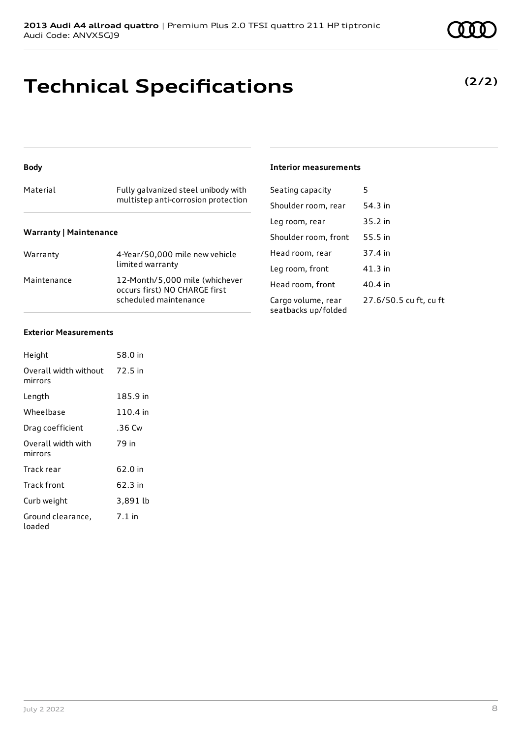# **Technical Specifications**

### **Body**

## Material Fully galvanized steel unibody with multistep anti-corrosion protection **Warranty | Maintenance**

| Warranty    | 4-Year/50,000 mile new vehicle<br>limited warranty                                       |
|-------------|------------------------------------------------------------------------------------------|
| Maintenance | 12-Month/5,000 mile (whichever<br>occurs first) NO CHARGE first<br>scheduled maintenance |

## **Interior measurements**

| Seating capacity                          | 5                      |
|-------------------------------------------|------------------------|
| Shoulder room, rear                       | 54.3 in                |
| Leg room, rear                            | 35.2 in                |
| Shoulder room, front                      | 55.5 in                |
| Head room, rear                           | 37.4 in                |
| Leg room, front                           | $41.3$ in              |
| Head room, front                          | 40.4 in                |
| Cargo volume, rear<br>seatbacks up/folded | 27.6/50.5 cu ft, cu ft |

#### **Exterior Measurements**

| Height                           | 58.0 in  |
|----------------------------------|----------|
| Overall width without<br>mirrors | 72.5 in  |
| Length                           | 185.9 in |
| Wheelbase                        | 110.4 in |
| Drag coefficient                 | .36 Cw   |
| Overall width with<br>mirrors    | 79 in    |
| Track rear                       | 62.0 in  |
| <b>Track front</b>               | 62.3 in  |
| Curb weight                      | 3,891 lb |
| Ground clearance,<br>loaded      | $7.1$ in |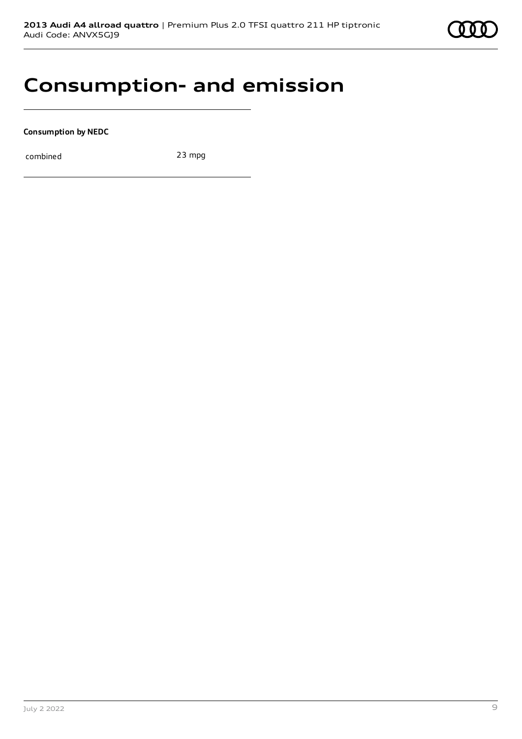

# **Consumption- and emission**

**Consumption by NEDC**

combined 23 mpg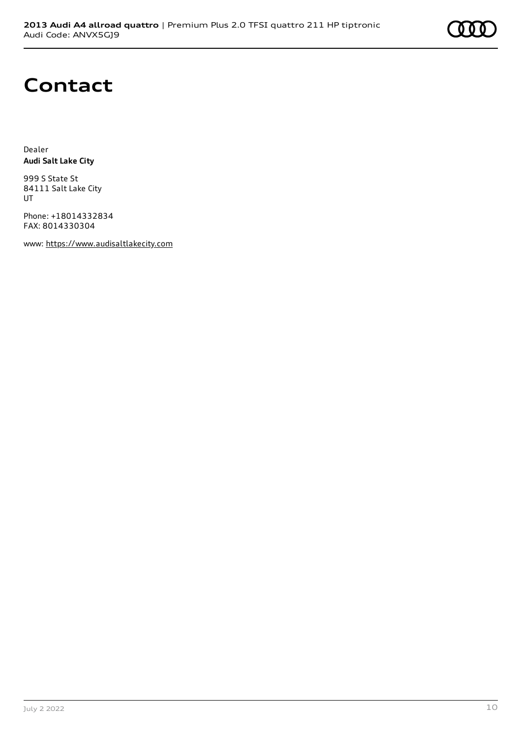

# **Contact**

Dealer **Audi Salt Lake City**

999 S State St 84111 Salt Lake City UT

Phone: +18014332834 FAX: 8014330304

www: [https://www.audisaltlakecity.com](https://www.audisaltlakecity.com/)